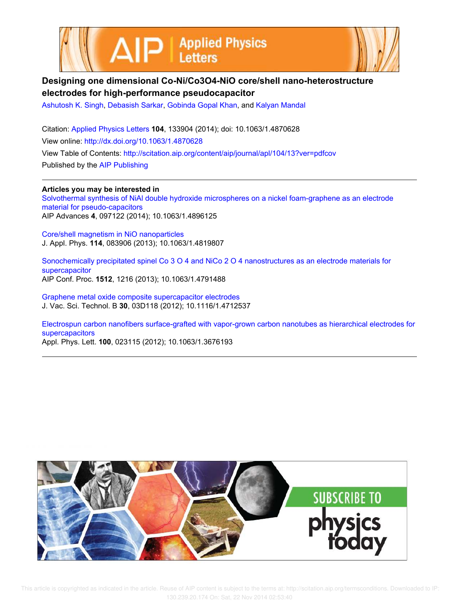



## **Designing one dimensional Co-Ni/Co3O4-NiO core/shell nano-heterostructure electrodes for high-performance pseudocapacitor**

Ashutosh K. Singh, Debasish Sarkar, Gobinda Gopal Khan, and Kalyan Mandal

Citation: Applied Physics Letters **104**, 133904 (2014); doi: 10.1063/1.4870628 View online: http://dx.doi.org/10.1063/1.4870628 View Table of Contents: http://scitation.aip.org/content/aip/journal/apl/104/13?ver=pdfcov Published by the AIP Publishing

**Articles you may be interested in** Solvothermal synthesis of NiAl double hydroxide microspheres on a nickel foam-graphene as an electrode material for pseudo-capacitors AIP Advances **4**, 097122 (2014); 10.1063/1.4896125

Core/shell magnetism in NiO nanoparticles J. Appl. Phys. **114**, 083906 (2013); 10.1063/1.4819807

Sonochemically precipitated spinel Co 3 O 4 and NiCo 2 O 4 nanostructures as an electrode materials for supercapacitor AIP Conf. Proc. **1512**, 1216 (2013); 10.1063/1.4791488

Graphene metal oxide composite supercapacitor electrodes J. Vac. Sci. Technol. B **30**, 03D118 (2012); 10.1116/1.4712537

Electrospun carbon nanofibers surface-grafted with vapor-grown carbon nanotubes as hierarchical electrodes for supercapacitors Appl. Phys. Lett. **100**, 023115 (2012); 10.1063/1.3676193

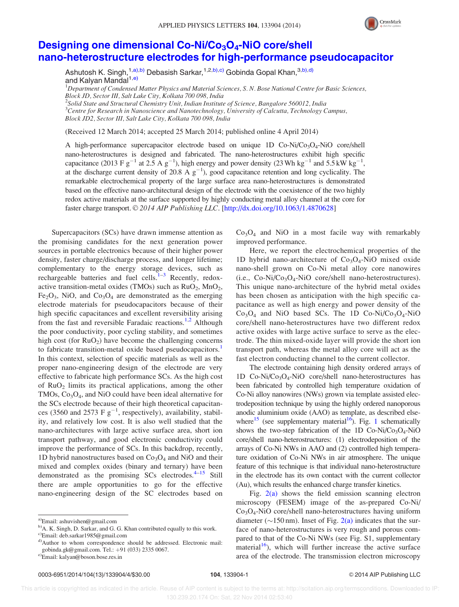

## Designing one dimensional Co-Ni/Co<sub>3</sub>O<sub>4</sub>-NiO core/shell nano-heterostructure electrodes for high-performance pseudocapacitor

Ashutosh K. Singh,<sup>1,a),b)</sup> Debasish Sarkar,<sup>1,2,b),c)</sup> Gobinda Gopal Khan.<sup>3,b),d)</sup> and Kalyan Mandal<sup>1,e)</sup>

 ${}^{1}$ Department of Condensed Matter Physics and Material Sciences, S. N. Bose National Centre for Basic Sciences, Block JD, Sector III, Salt Lake City, Kolkata 700 098, India

<sup>2</sup>Solid State and Structural Chemistry Unit, Indian Institute of Science, Bangalore 560012, India  $^3$ Centre for Research in Nanoscience and Nanotechnology, University of Calcutta, Technology Campus, Block JD2, Sector III, Salt Lake City, Kolkata 700 098, India

(Received 12 March 2014; accepted 25 March 2014; published online 4 April 2014)

A high-performance supercapacitor electrode based on unique 1D  $Co-Ni/Co_3O_4-NiO$  core/shell nano-heterostructures is designed and fabricated. The nano-heterostructures exhibit high specific capacitance (2013 F  $g^{-1}$  at 2.5 A  $g^{-1}$ ), high energy and power density (23 Wh kg<sup>-1</sup> and 5.5 kW kg<sup>-1</sup>, at the discharge current density of 20.8 A  $g^{-1}$ ), good capacitance retention and long cyclicality. The remarkable electrochemical property of the large surface area nano-heterostructures is demonstrated based on the effective nano-architectural design of the electrode with the coexistence of the two highly redox active materials at the surface supported by highly conducting metal alloy channel at the core for faster charge transport. © 2014 AIP Publishing LLC. [http://dx.doi.org/10.1063/1.4870628]

Supercapacitors (SCs) have drawn immense attention as the promising candidates for the next generation power sources in portable electronics because of their higher power density, faster charge/discharge process, and longer lifetime; complementary to the energy storage devices, such as rechargeable batteries and fuel cells.<sup> $1-3$ </sup> Recently, redoxactive transition-metal oxides (TMOs) such as  $RuO<sub>2</sub>$ , MnO<sub>2</sub>,  $Fe<sub>2</sub>O<sub>3</sub>$ , NiO, and  $Co<sub>3</sub>O<sub>4</sub>$  are demonstrated as the emerging electrode materials for pseudocapacitors because of their high specific capacitances and excellent reversibility arising from the fast and reversible Faradaic reactions.<sup>1,2</sup> Although the poor conductivity, poor cycling stability, and sometimes high cost (for  $RuO<sub>2</sub>$ ) have become the challenging concerns to fabricate transition-metal oxide based pseudocapacitors.<sup>1</sup> In this context, selection of specific materials as well as the proper nano-engineering design of the electrode are very effective to fabricate high performance SCs. As the high cost of  $RuO<sub>2</sub>$  limits its practical applications, among the other TMOs, Co<sub>3</sub>O<sub>4</sub>, and NiO could have been ideal alternative for the SCs electrode because of their high theoretical capacitances (3560 and 2573 F  $g^{-1}$ , respectively), availability, stability, and relatively low cost. It is also well studied that the nano-architectures with large active surface area, short ion transport pathway, and good electronic conductivity could improve the performance of SCs. In this backdrop, recently, 1D hybrid nanostructures based on  $Co<sub>3</sub>O<sub>4</sub>$  and NiO and their mixed and complex oxides (binary and ternary) have been demonstrated as the promising  $SCs$  electrodes. $4-15$  Still there are ample opportunities to go for the effective nano-engineering design of the SC electrodes based on  $Co<sub>3</sub>O<sub>4</sub>$  and NiO in a most facile way with remarkably improved performance.

Here, we report the electrochemical properties of the 1D hybrid nano-architecture of  $Co<sub>3</sub>O<sub>4</sub>$ -NiO mixed oxide nano-shell grown on Co-Ni metal alloy core nanowires (i.e.,  $Co-Ni/Co_3O_4-NiO$  core/shell nano-heterostructures). This unique nano-architecture of the hybrid metal oxides has been chosen as anticipation with the high specific capacitance as well as high energy and power density of the  $Co<sub>3</sub>O<sub>4</sub>$  and NiO based SCs. The 1D Co-Ni/Co<sub>3</sub>O<sub>4</sub>-NiO core/shell nano-heterostructures have two different redox active oxides with large active surface to serve as the electrode. The thin mixed-oxide layer will provide the short ion transport path, whereas the metal alloy core will act as the fast electron conducting channel to the current collector.

The electrode containing high density ordered arrays of 1D  $Co-Ni/Co_3O_4-NiO$  core/shell nano-heterostructures has been fabricated by controlled high temperature oxidation of Co-Ni alloy nanowires (NWs) grown via template assisted electrodeposition technique by using the highly ordered nanoporous anodic aluminium oxide (AAO) as template, as described elsewhere<sup>15</sup> (see supplementary material<sup>16</sup>). Fig. 1 schematically shows the two-step fabrication of the 1D Co-Ni/Co<sub>3</sub>O<sub>4</sub>-NiO core/shell nano-heterostructures: (1) electrodeposition of the arrays of Co-Ni NWs in AAO and (2) controlled high temperature oxidation of Co-Ni NWs in air atmosphere. The unique feature of this technique is that individual nano-heterostructure in the electrode has its own contact with the current collector (Au), which results the enhanced charge transfer kinetics.

Fig.  $2(a)$  shows the field emission scanning electron microscopy (FESEM) image of the as-prepared Co-Ni/  $Co<sub>3</sub>O<sub>4</sub>$ -NiO core/shell nano-heterostructures having uniform diameter ( $\sim$ 150 nm). Inset of Fig. 2(a) indicates that the surface of nano-heterostructures is very rough and porous compared to that of the Co-Ni NWs (see Fig. S1, supplementary material<sup>16</sup>), which will further increase the active surface area of the electrode. The transmission electron microscopy

a)Email: ashuvishen@gmail.com

b)A. K. Singh, D. Sarkar, and G. G. Khan contributed equally to this work. c)Email: deb.sarkar1985@gmail.com

d)Author to whom correspondence should be addressed. Electronic mail: gobinda.gk@gmail.com. Tel.: +91 (033) 2335 0067.

e)Email: kalyan@boson.bose.res.in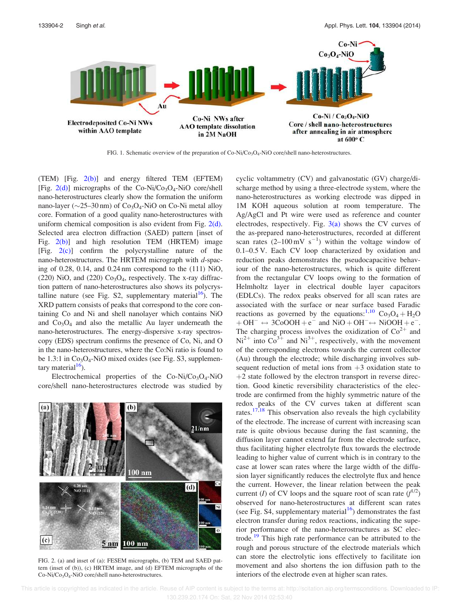

FIG. 1. Schematic overview of the preparation of Co-Ni/Co<sub>3</sub>O<sub>4</sub>-NiO core/shell nano-heterostructures.

(TEM) [Fig.  $2(b)$ ] and energy filtered TEM (EFTEM) [Fig.  $2(d)$ ] micrographs of the Co-Ni/Co<sub>3</sub>O<sub>4</sub>-NiO core/shell nano-heterostructures clearly show the formation the uniform nano-layer ( $\sim$ 25–30 nm) of Co<sub>3</sub>O<sub>4</sub>-NiO on Co-Ni metal alloy core. Formation of a good quality nano-heterostructures with uniform chemical composition is also evident from Fig.  $2(d)$ . Selected area electron diffraction (SAED) pattern [inset of Fig. 2(b)] and high resolution TEM (HRTEM) image [Fig. 2(c)] confirm the polycrystalline nature of the nano-heterostructures. The HRTEM micrograph with  $d$ -spacing of 0.28, 0.14, and 0.24 nm correspond to the (111) NiO,  $(220)$  NiO, and  $(220)$  Co<sub>3</sub>O<sub>4</sub>, respectively. The x-ray diffraction pattern of nano-heterostructures also shows its polycrystalline nature (see Fig. S2, supplementary material $16$ ). The XRD pattern consists of peaks that correspond to the core containing Co and Ni and shell nanolayer which contains NiO and  $Co<sub>3</sub>O<sub>4</sub>$  and also the metallic Au layer underneath the nano-heterostructures. The energy-dispersive x-ray spectroscopy (EDS) spectrum confirms the presence of Co, Ni, and O in the nano-heterostructures, where the Co:Ni ratio is found to be 1.3:1 in  $Co<sub>3</sub>O<sub>4</sub>$ -NiO mixed oxides (see Fig. S3, supplementary material $16$ ).

Electrochemical properties of the  $Co-Ni/Co_3O_4-NiO$ core/shell nano-heterostructures electrode was studied by



FIG. 2. (a) and inset of (a): FESEM micrographs, (b) TEM and SAED pattern (inset of (b)), (c) HRTEM image, and (d) EFTEM micrographs of the Co-Ni/Co<sub>3</sub>O<sub>4</sub>-NiO core/shell nano-heterostructures.

cyclic voltammetry (CV) and galvanostatic (GV) charge/discharge method by using a three-electrode system, where the nano-heterostructures as working electrode was dipped in 1M KOH aqueous solution at room temperature. The Ag/AgCl and Pt wire were used as reference and counter electrodes, respectively. Fig.  $3(a)$  shows the CV curves of the as-prepared nano-heterostructures, recorded at different scan rates  $(2-100 \text{ mV s}^{-1})$  within the voltage window of 0.1–0.5 V. Each CV loop characterized by oxidation and reduction peaks demonstrates the pseudocapacitive behaviour of the nano-heterostructures, which is quite different from the rectangular CV loops owing to the formation of Helmholtz layer in electrical double layer capacitors (EDLCs). The redox peaks observed for all scan rates are associated with the surface or near surface based Faradic reactions as governed by the equations:<sup>1,10</sup> Co<sub>3</sub>O<sub>4</sub> + H<sub>2</sub>O  $+ \text{OH}^- \leftrightarrow 3\text{CoOOH} + \text{e}^-$  and  $\text{NiO} + \text{OH}^- \leftrightarrow \text{NiOOH} + \text{e}^-$ . The charging process involves the oxidization of  $Co^{2+}$  and  $Ni^{2+}$  into  $Co^{3+}$  and  $Ni^{3+}$ , respectively, with the movement of the corresponding electrons towards the current collector (Au) through the electrode; while discharging involves subsequent reduction of metal ions from  $+3$  oxidation state to  $+2$  state followed by the electron transport in reverse direction. Good kinetic reversibility characteristics of the electrode are confirmed from the highly symmetric nature of the redox peaks of the CV curves taken at different scan rates. $17,18$  This observation also reveals the high cyclability of the electrode. The increase of current with increasing scan rate is quite obvious because during the fast scanning, the diffusion layer cannot extend far from the electrode surface, thus facilitating higher electrolyte flux towards the electrode leading to higher value of current which is in contrary to the case at lower scan rates where the large width of the diffusion layer significantly reduces the electrolyte flux and hence the current. However, the linear relation between the peak current (*I*) of CV loops and the square root of scan rate  $(f^{1/2})$ observed for nano-heterostructures at different scan rates (see Fig. S4, supplementary material<sup>16</sup>) demonstrates the fast electron transfer during redox reactions, indicating the superior performance of the nano-heterostructures as SC electrode.<sup>19</sup> This high rate performance can be attributed to the rough and porous structure of the electrode materials which can store the electrolytic ions effectively to facilitate ion movement and also shortens the ion diffusion path to the interiors of the electrode even at higher scan rates.

 This article is copyrighted as indicated in the article. Reuse of AIP content is subject to the terms at: http://scitation.aip.org/termsconditions. Downloaded to IP: 130.239.20.174 On: Sat, 22 Nov 2014 02:53:40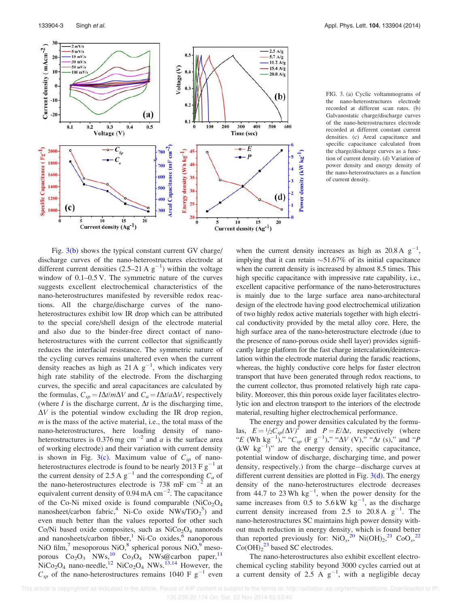

FIG. 3. (a) Cyclic voltammograms of the nano-heterostructures electrode recorded at different scan rates. (b) Galvanostatic charge/discharge curves of the nano-heterostructures electrode recorded at different constant current densities. (c) Areal capacitance and specific capacitance calculated from the charge/discharge curves as a function of current density. (d) Variation of power density and energy density of the nano-heterostructures as a function of current density.

Fig. 3(b) shows the typical constant current GV charge/ discharge curves of the nano-heterostructures electrode at different current densities  $(2.5-21 \text{ A g}^{-1})$  within the voltage window of 0.1–0.5 V. The symmetric nature of the curves suggests excellent electrochemical characteristics of the nano-heterostructures manifested by reversible redox reactions. All the charge/discharge curves of the nanoheterostructures exhibit low IR drop which can be attributed to the special core/shell design of the electrode material and also due to the binder-free direct contact of nanoheterostructures with the current collector that significantly reduces the interfacial resistance. The symmetric nature of the cycling curves remains unaltered even when the current density reaches as high as 21 A  $g^{-1}$ , which indicates very high rate stability of the electrode. From the discharging curves, the specific and areal capacitances are calculated by the formulas,  $C_{sp} = I\Delta t/m\Delta V$  and  $C_a = I\Delta t/a\Delta V$ , respectively (where *I* is the discharge current,  $\Delta t$  is the discharging time,  $\Delta V$  is the potential window excluding the IR drop region, m is the mass of the active material, i.e., the total mass of the nano-heterostructures, here loading density of nanoheterostructures is 0.376 mg cm<sup>-2</sup> and *a* is the surface area of working electrode) and their variation with current density is shown in Fig. 3(c). Maximum value of  $C_{sp}$  of nanoheterostructures electrode is found to be nearly 2013 F  $g^{-1}$  at the current density of 2.5 A  $g^{-1}$  and the corresponding  $C_a$  of the nano-heterostructures electrode is 738 mF cm<sup>-2</sup> at an equivalent current density of 0.94 mA  $cm^{-2}$ . The capacitance of the Co-Ni mixed oxide is found comparable  $(NiCo<sub>2</sub>O<sub>4</sub>)$ nanosheet/carbon fabric,<sup>4</sup> Ni-Co oxide  $NWs/TiO_2^5$  and even much better than the values reported for other such Co/Ni based oxide composites, such as  $NiCo<sub>2</sub>O<sub>4</sub>$  nanorods and nanosheets/carbon fibber,<sup>1</sup> Ni-Co oxides,<sup>6</sup> nanoporous NiO film,<sup>7</sup> mesoporous NiO,<sup>8</sup> spherical porous NiO,<sup>9</sup> mesoporous  $Co_2O_3$  NWs,<sup>10</sup>  $Co_3O_4$  NWs@carbon paper,<sup>11</sup>  $NiCo<sub>2</sub>O<sub>4</sub>$  nano-needle,<sup>12</sup> NiCo<sub>2</sub>O<sub>4</sub> NWs.<sup>13,14</sup> However, the  $C_{sp}$  of the nano-heterostructures remains 1040 F g<sup>-1</sup> even

when the current density increases as high as  $20.8 \text{ A g}^{-1}$ , implying that it can retain  $\sim$  51.67% of its initial capacitance when the current density is increased by almost 8.5 times. This high specific capacitance with impressive rate capability, i.e., excellent capacitive performance of the nano-heterostructures is mainly due to the large surface area nano-architectural design of the electrode having good electrochemical utilization of two highly redox active materials together with high electrical conductivity provided by the metal alloy core. Here, the high surface area of the nano-heterostructure electrode (due to the presence of nano-porous oxide shell layer) provides significantly large platform for the fast charge intercalation/deintercalation within the electrode material during the faradic reactions, whereas, the highly conductive core helps for faster electron transport that have been generated through redox reactions, to the current collector, thus promoted relatively high rate capability. Moreover, this thin porous oxide layer facilitates electrolytic ion and electron transport to the interiors of the electrode material, resulting higher electrochemical performance.

The energy and power densities calculated by the formulas,  $E = \frac{1}{2}C_{sp}(\Delta V)^2$  and  $P = E/\Delta t$ , respectively (where "E (Wh kg<sup>-1</sup>)," "C<sub>sp</sub> (F g<sup>-1</sup>)," " $\Delta V$  (V)," " $\Delta t$  (s)," and "P (kW kg-1 )" are the energy density, specific capacitance, potential window of discharge, discharging time, and power density, respectively.) from the charge-discharge curves at different current densities are plotted in Fig. 3(d). The energy density of the nano-heterostructures electrode decreases from 44.7 to 23 Wh  $\text{kg}^{-1}$ , when the power density for the same increases from  $0.5$  to  $5.6 \text{ kW} \text{ kg}^{-1}$ , as the discharge current density increased from 2.5 to 20.8 A  $g^{-1}$ . The nano-heterostructures SC maintains high power density without much reduction in energy density, which is found better than reported previously for:  $\text{NiO}_x^2$ <sup>20</sup>  $\text{Ni(OH)}_2$ <sup>21</sup>  $\text{CoO}_x^2$ <sup>22</sup>  $Co(OH)_2^{23}$  based SC electrodes.

The nano-heterostructures also exhibit excellent electrochemical cycling stability beyond 3000 cycles carried out at a current density of 2.5 A  $g^{-1}$ , with a negligible decay